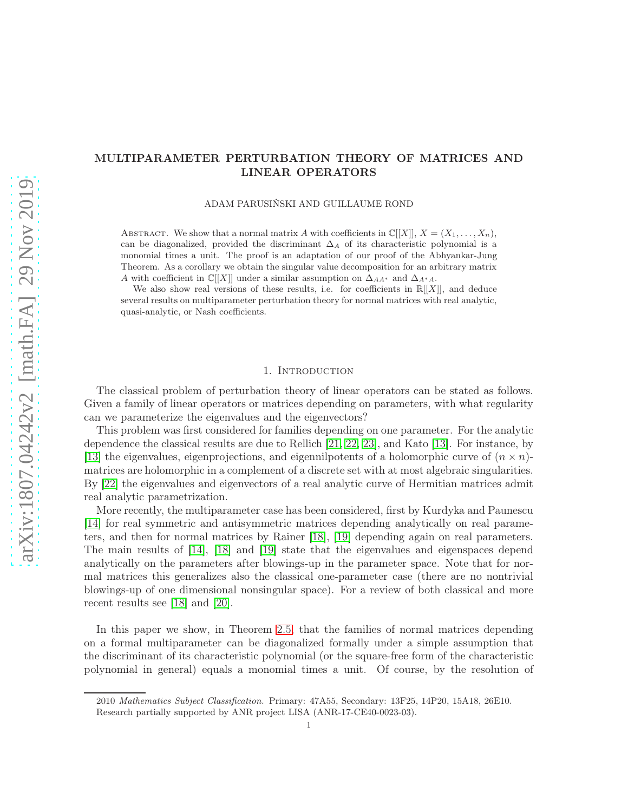# MULTIPARAMETER PERTURBATION THEORY OF MATRICES AND LINEAR OPERATORS

ADAM PARUSIŃSKI AND GUILLAUME ROND

ABSTRACT. We show that a normal matrix A with coefficients in  $\mathbb{C}[[X]], X = (X_1, \ldots, X_n),$ can be diagonalized, provided the discriminant  $\Delta_A$  of its characteristic polynomial is a monomial times a unit. The proof is an adaptation of our proof of the Abhyankar-Jung Theorem. As a corollary we obtain the singular value decomposition for an arbitrary matrix A with coefficient in  $\mathbb{C}[[X]]$  under a similar assumption on  $\Delta_{AA^*}$  and  $\Delta_{A^*A}$ .

We also show real versions of these results, i.e. for coefficients in  $\mathbb{R}[[X]]$ , and deduce several results on multiparameter perturbation theory for normal matrices with real analytic, quasi-analytic, or Nash coefficients.

## 1. INTRODUCTION

The classical problem of perturbation theory of linear operators can be stated as follows. Given a family of linear operators or matrices depending on parameters, with what regularity can we parameterize the eigenvalues and the eigenvectors?

This problem was first considered for families depending on one parameter. For the analytic dependence the classical results are due to Rellich [\[21,](#page-14-0) [22,](#page-14-1) [23\]](#page-14-2), and Kato [\[13\]](#page-14-3). For instance, by [\[13\]](#page-14-3) the eigenvalues, eigenprojections, and eigennilpotents of a holomorphic curve of  $(n \times n)$ matrices are holomorphic in a complement of a discrete set with at most algebraic singularities. By [\[22\]](#page-14-1) the eigenvalues and eigenvectors of a real analytic curve of Hermitian matrices admit real analytic parametrization.

More recently, the multiparameter case has been considered, first by Kurdyka and Paunescu [\[14\]](#page-14-4) for real symmetric and antisymmetric matrices depending analytically on real parameters, and then for normal matrices by Rainer [\[18\]](#page-14-5), [\[19\]](#page-14-6) depending again on real parameters. The main results of [\[14\]](#page-14-4), [\[18\]](#page-14-5) and [\[19\]](#page-14-6) state that the eigenvalues and eigenspaces depend analytically on the parameters after blowings-up in the parameter space. Note that for normal matrices this generalizes also the classical one-parameter case (there are no nontrivial blowings-up of one dimensional nonsingular space). For a review of both classical and more recent results see [\[18\]](#page-14-5) and [\[20\]](#page-14-7).

In this paper we show, in Theorem [2.5,](#page-4-0) that the families of normal matrices depending on a formal multiparameter can be diagonalized formally under a simple assumption that the discriminant of its characteristic polynomial (or the square-free form of the characteristic polynomial in general) equals a monomial times a unit. Of course, by the resolution of

<sup>2010</sup> Mathematics Subject Classification. Primary: 47A55, Secondary: 13F25, 14P20, 15A18, 26E10. Research partially supported by ANR project LISA (ANR-17-CE40-0023-03).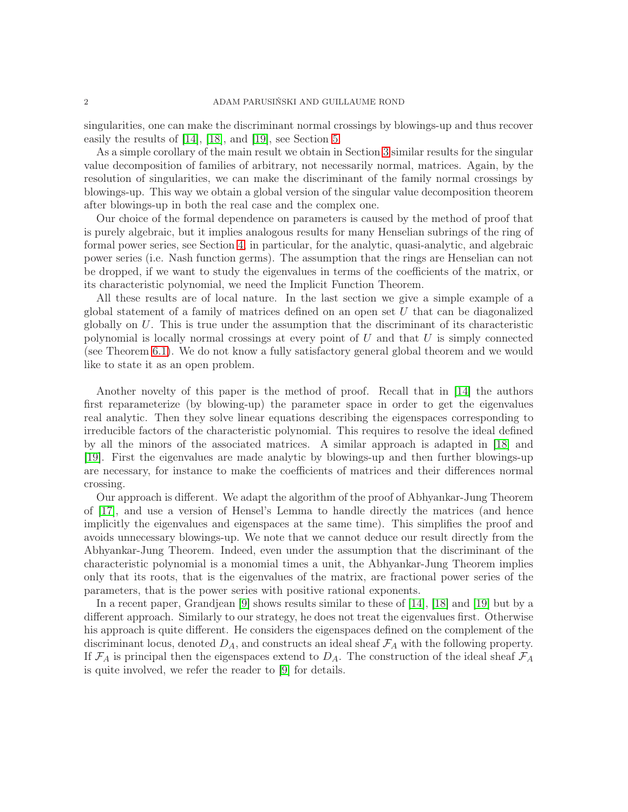singularities, one can make the discriminant normal crossings by blowings-up and thus recover easily the results of [\[14\]](#page-14-4), [\[18\]](#page-14-5), and [\[19\]](#page-14-6), see Section [5.](#page-10-0)

As a simple corollary of the main result we obtain in Section [3](#page-7-0) similar results for the singular value decomposition of families of arbitrary, not necessarily normal, matrices. Again, by the resolution of singularities, we can make the discriminant of the family normal crossings by blowings-up. This way we obtain a global version of the singular value decomposition theorem after blowings-up in both the real case and the complex one.

Our choice of the formal dependence on parameters is caused by the method of proof that is purely algebraic, but it implies analogous results for many Henselian subrings of the ring of formal power series, see Section [4,](#page-9-0) in particular, for the analytic, quasi-analytic, and algebraic power series (i.e. Nash function germs). The assumption that the rings are Henselian can not be dropped, if we want to study the eigenvalues in terms of the coefficients of the matrix, or its characteristic polynomial, we need the Implicit Function Theorem.

All these results are of local nature. In the last section we give a simple example of a global statement of a family of matrices defined on an open set U that can be diagonalized globally on  $U$ . This is true under the assumption that the discriminant of its characteristic polynomial is locally normal crossings at every point of  $U$  and that  $U$  is simply connected (see Theorem [6.1\)](#page-12-0). We do not know a fully satisfactory general global theorem and we would like to state it as an open problem.

Another novelty of this paper is the method of proof. Recall that in [\[14\]](#page-14-4) the authors first reparameterize (by blowing-up) the parameter space in order to get the eigenvalues real analytic. Then they solve linear equations describing the eigenspaces corresponding to irreducible factors of the characteristic polynomial. This requires to resolve the ideal defined by all the minors of the associated matrices. A similar approach is adapted in [\[18\]](#page-14-5) and [\[19\]](#page-14-6). First the eigenvalues are made analytic by blowings-up and then further blowings-up are necessary, for instance to make the coefficients of matrices and their differences normal crossing.

Our approach is different. We adapt the algorithm of the proof of Abhyankar-Jung Theorem of [\[17\]](#page-14-8), and use a version of Hensel's Lemma to handle directly the matrices (and hence implicitly the eigenvalues and eigenspaces at the same time). This simplifies the proof and avoids unnecessary blowings-up. We note that we cannot deduce our result directly from the Abhyankar-Jung Theorem. Indeed, even under the assumption that the discriminant of the characteristic polynomial is a monomial times a unit, the Abhyankar-Jung Theorem implies only that its roots, that is the eigenvalues of the matrix, are fractional power series of the parameters, that is the power series with positive rational exponents.

In a recent paper, Grandjean [\[9\]](#page-14-9) shows results similar to these of [\[14\]](#page-14-4), [\[18\]](#page-14-5) and [\[19\]](#page-14-6) but by a different approach. Similarly to our strategy, he does not treat the eigenvalues first. Otherwise his approach is quite different. He considers the eigenspaces defined on the complement of the discriminant locus, denoted  $D_A$ , and constructs an ideal sheaf  $\mathcal{F}_A$  with the following property. If  $\mathcal{F}_A$  is principal then the eigenspaces extend to  $D_A$ . The construction of the ideal sheaf  $\mathcal{F}_A$ is quite involved, we refer the reader to [\[9\]](#page-14-9) for details.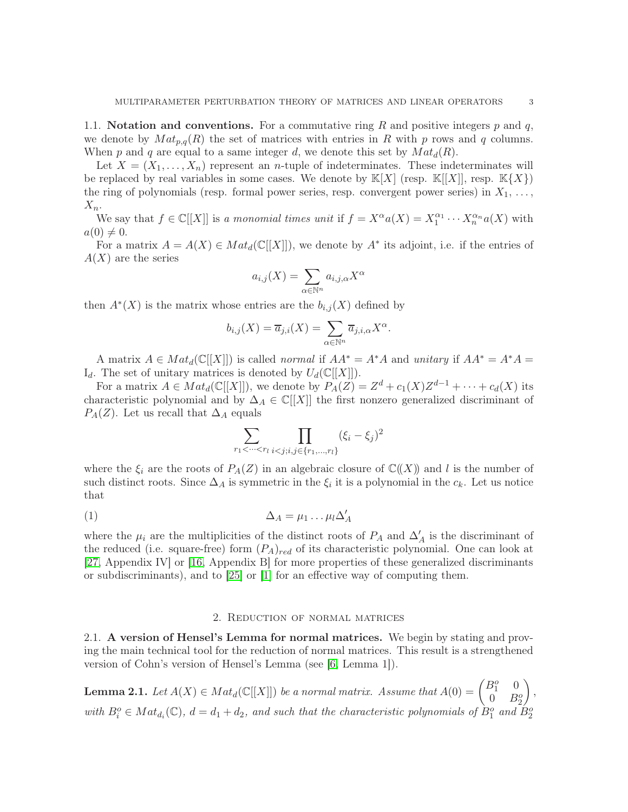1.1. Notation and conventions. For a commutative ring R and positive integers  $p$  and  $q$ , we denote by  $Mat_{p,q}(R)$  the set of matrices with entries in R with p rows and q columns. When p and q are equal to a same integer d, we denote this set by  $Mat_d(R)$ .

Let  $X = (X_1, \ldots, X_n)$  represent an *n*-tuple of indeterminates. These indeterminates will be replaced by real variables in some cases. We denote by  $\mathbb{K}[X]$  (resp.  $\mathbb{K}[X]$ ), resp.  $\mathbb{K}\{X\}$ ) the ring of polynomials (resp. formal power series, resp. convergent power series) in  $X_1, \ldots,$  $X_n$ .

We say that  $f \in \mathbb{C}[[X]]$  is a monomial times unit if  $f = X^{\alpha} a(X) = X_1^{\alpha_1}$  $x_1^{\alpha_1} \cdots x_n^{\alpha_n} a(X)$  with  $a(0) \neq 0.$ 

For a matrix  $A = A(X) \in Mat_d(\mathbb{C}[[X]])$ , we denote by  $A^*$  its adjoint, i.e. if the entries of  $A(X)$  are the series

$$
a_{i,j}(X) = \sum_{\alpha \in \mathbb{N}^n} a_{i,j,\alpha} X^{\alpha}
$$

then  $A^*(X)$  is the matrix whose entries are the  $b_{i,j}(X)$  defined by

$$
b_{i,j}(X) = \overline{a}_{j,i}(X) = \sum_{\alpha \in \mathbb{N}^n} \overline{a}_{j,i,\alpha} X^{\alpha}.
$$

A matrix  $A \in Mat_d(\mathbb{C}[[X]])$  is called normal if  $AA^* = A^*A$  and unitary if  $AA^* = A^*A =$  $I_d$ . The set of unitary matrices is denoted by  $U_d(\mathbb{C}[[X]])$ .

For a matrix  $A \in Mat_d(\mathbb{C}[[X]])$ , we denote by  $P_A(Z) = Z^d + c_1(X)Z^{d-1} + \cdots + c_d(X)$  its characteristic polynomial and by  $\Delta_A \in \mathbb{C}[[X]]$  the first nonzero generalized discriminant of  $P_A(Z)$ . Let us recall that  $\Delta_A$  equals

<span id="page-2-1"></span>
$$
\sum_{r_1 < \cdots < r_l} \prod_{i < j; i, j \in \{r_1, \ldots, r_l\}} (\xi_i - \xi_j)^2
$$

where the  $\xi_i$  are the roots of  $P_A(Z)$  in an algebraic closure of  $\mathbb{C}(\!(X)\!)$  and l is the number of such distinct roots. Since  $\Delta_A$  is symmetric in the  $\xi_i$  it is a polynomial in the  $c_k$ . Let us notice that

$$
\Delta_A = \mu_1 \dots \mu_l \Delta'_A
$$

where the  $\mu_i$  are the multiplicities of the distinct roots of  $P_A$  and  $\Delta'_A$  is the discriminant of the reduced (i.e. square-free) form  $(P_A)_{red}$  of its characteristic polynomial. One can look at [\[27,](#page-14-10) Appendix IV] or [\[16,](#page-14-11) Appendix B] for more properties of these generalized discriminants or subdiscriminants), and to  $[25]$  or  $[1]$  for an effective way of computing them.

## 2. Reduction of normal matrices

2.1. A version of Hensel's Lemma for normal matrices. We begin by stating and proving the main technical tool for the reduction of normal matrices. This result is a strengthened version of Cohn's version of Hensel's Lemma (see [\[6,](#page-14-14) Lemma 1]).

<span id="page-2-0"></span>**Lemma 2.1.** Let  $A(X) \in Mat_d(\mathbb{C}[[X]])$  be a normal matrix. Assume that  $A(0) = \begin{pmatrix} B_1^o & 0 \\ 0 & B_2^o \end{pmatrix}$  $0 \quad B_2^o$  $\overline{ }$ , with  $B_i^o \in Mat_{d_i}(\mathbb{C})$ ,  $d = d_1 + d_2$ , and such that the characteristic polynomials of  $B_1^o$  and  $B_2^o$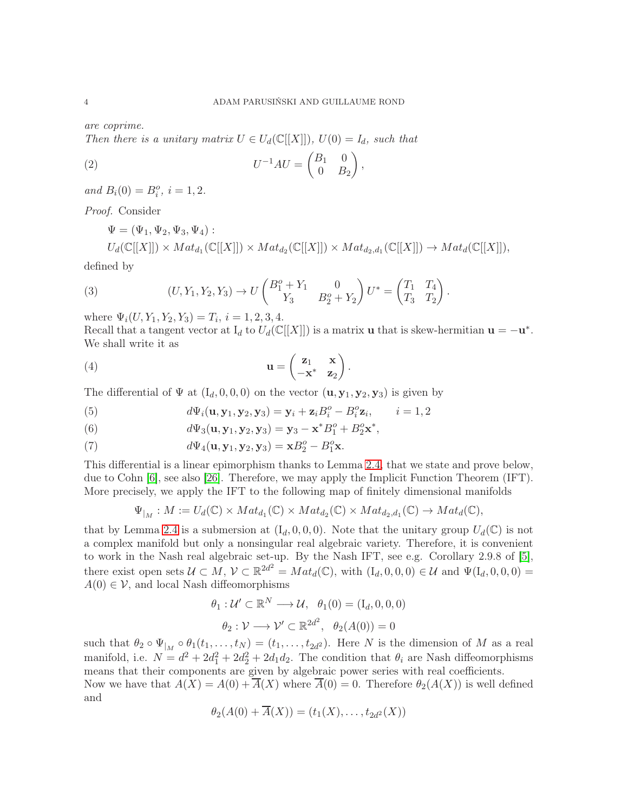are coprime.

Then there is a unitary matrix  $U \in U_d(\mathbb{C}[[X]])$ ,  $U(0) = I_d$ , such that

(2) 
$$
U^{-1}AU = \begin{pmatrix} B_1 & 0 \\ 0 & B_2 \end{pmatrix},
$$

and  $B_i(0) = B_i^o, i = 1, 2.$ 

Proof. Consider

 $\Psi = (\Psi_1, \Psi_2, \Psi_3, \Psi_4)$ :  $U_d(\mathbb{C}[[X]]) \times Mat_{d_1}(\mathbb{C}[[X]]) \times Mat_{d_2}(\mathbb{C}[[X]]) \times Mat_{d_2,d_1}(\mathbb{C}[[X]]) \rightarrow Mat_d(\mathbb{C}[[X]]),$ 

defined by

(3) 
$$
(U, Y_1, Y_2, Y_3) \to U \begin{pmatrix} B_1^o + Y_1 & 0 \ Y_3 & B_2^o + Y_2 \end{pmatrix} U^* = \begin{pmatrix} T_1 & T_4 \ T_3 & T_2 \end{pmatrix}.
$$

where  $\Psi_i(U, Y_1, Y_2, Y_3) = T_i$ ,  $i = 1, 2, 3, 4$ .

Recall that a tangent vector at  $I_d$  to  $U_d(\mathbb{C}[[X]])$  is a matrix **u** that is skew-hermitian  $\mathbf{u} = -\mathbf{u}^*$ . We shall write it as

(4) 
$$
\mathbf{u} = \begin{pmatrix} \mathbf{z}_1 & \mathbf{x} \\ -\mathbf{x}^* & \mathbf{z}_2 \end{pmatrix}.
$$

The differential of  $\Psi$  at  $(I_d, 0, 0, 0)$  on the vector  $(\mathbf{u}, \mathbf{y}_1, \mathbf{y}_2, \mathbf{y}_3)$  is given by

(5) 
$$
d\Psi_i(\mathbf{u}, \mathbf{y}_1, \mathbf{y}_2, \mathbf{y}_3) = \mathbf{y}_i + \mathbf{z}_i B_i^o - B_i^o \mathbf{z}_i, \qquad i = 1, 2
$$

(6) 
$$
d\Psi_3(\mathbf{u}, \mathbf{y}_1, \mathbf{y}_2, \mathbf{y}_3) = \mathbf{y}_3 - \mathbf{x}^* B_1^o + B_2^o \mathbf{x}^*,
$$

(7) 
$$
d\Psi_4(\mathbf{u}, \mathbf{y}_1, \mathbf{y}_2, \mathbf{y}_3) = \mathbf{x}B_2^o - B_1^o \mathbf{x}.
$$

This differential is a linear epimorphism thanks to Lemma [2.4,](#page-4-1) that we state and prove below, due to Cohn [\[6\]](#page-14-14), see also [\[26\]](#page-14-15). Therefore, we may apply the Implicit Function Theorem (IFT). More precisely, we apply the IFT to the following map of finitely dimensional manifolds

$$
\Psi_{|_M}: M := U_d(\mathbb{C}) \times Mat_{d_1}(\mathbb{C}) \times Mat_{d_2}(\mathbb{C}) \times Mat_{d_2,d_1}(\mathbb{C}) \to Mat_d(\mathbb{C}),
$$

that by Lemma [2.4](#page-4-1) is a submersion at  $(I_d, 0, 0, 0)$ . Note that the unitary group  $U_d(\mathbb{C})$  is not a complex manifold but only a nonsingular real algebraic variety. Therefore, it is convenient to work in the Nash real algebraic set-up. By the Nash IFT, see e.g. Corollary 2.9.8 of [\[5\]](#page-14-16), there exist open sets  $\mathcal{U} \subset M$ ,  $\mathcal{V} \subset \mathbb{R}^{2d^2} = Mat_d(\mathbb{C})$ , with  $(I_d, 0, 0, 0) \in \mathcal{U}$  and  $\Psi(I_d, 0, 0, 0) =$  $A(0) \in \mathcal{V}$ , and local Nash diffeomorphisms

$$
\theta_1: \mathcal{U}' \subset \mathbb{R}^N \longrightarrow \mathcal{U}, \quad \theta_1(0) = (\mathbf{I}_d, 0, 0, 0)
$$

$$
\theta_2: \mathcal{V} \longrightarrow \mathcal{V}' \subset \mathbb{R}^{2d^2}, \quad \theta_2(A(0)) = 0
$$

such that  $\theta_2 \circ \Psi_{|_M} \circ \theta_1(t_1,\ldots,t_N) = (t_1,\ldots,t_{2d^2})$ . Here N is the dimension of M as a real manifold, i.e.  $N = d^2 + 2d_1^2 + 2d_2^2 + 2d_1d_2$ . The condition that  $\theta_i$  are Nash diffeomorphisms means that their components are given by algebraic power series with real coefficients.

Now we have that  $A(X) = A(0) + A(X)$  where  $A(0) = 0$ . Therefore  $\theta_2(A(X))$  is well defined and

$$
\theta_2(A(0) + A(X)) = (t_1(X), \dots, t_{2d^2}(X))
$$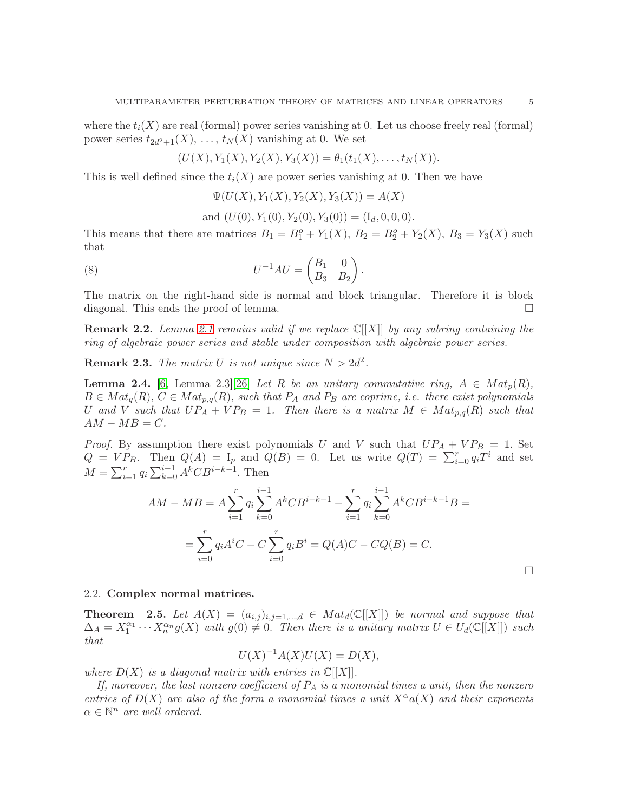where the  $t_i(X)$  are real (formal) power series vanishing at 0. Let us choose freely real (formal) power series  $t_{2d^2+1}(X), \ldots, t_N(X)$  vanishing at 0. We set

$$
(U(X), Y_1(X), Y_2(X), Y_3(X)) = \theta_1(t_1(X), \dots, t_N(X)).
$$

This is well defined since the  $t_i(X)$  are power series vanishing at 0. Then we have

 $\Psi(U(X), Y_1(X), Y_2(X), Y_3(X)) = A(X)$ 

and  $(U(0), Y_1(0), Y_2(0), Y_3(0)) = (I_d, 0, 0, 0).$ 

This means that there are matrices  $B_1 = B_1^o + Y_1(X)$ ,  $B_2 = B_2^o + Y_2(X)$ ,  $B_3 = Y_3(X)$  such that

(8) 
$$
U^{-1}AU = \begin{pmatrix} B_1 & 0 \\ B_3 & B_2 \end{pmatrix}.
$$

The matrix on the right-hand side is normal and block triangular. Therefore it is block diagonal. This ends the proof of lemma.

<span id="page-4-2"></span>**Remark 2.2.** Lemma [2.1](#page-2-0) remains valid if we replace  $\mathbb{C}[[X]]$  by any subring containing the ring of algebraic power series and stable under composition with algebraic power series.

**Remark 2.3.** The matrix U is not unique since  $N > 2d^2$ .

<span id="page-4-1"></span>**Lemma 2.4.** [\[6,](#page-14-14) Lemma 2.3][\[26\]](#page-14-15) Let R be an unitary commutative ring,  $A \in Mat_p(R)$ ,  $B \in Mat_q(R)$ ,  $C \in Mat_{p,q}(R)$ , such that  $P_A$  and  $P_B$  are coprime, i.e. there exist polynomials U and V such that  $UP_A+VP_B = 1$ . Then there is a matrix  $M \in Mat_{p,q}(R)$  such that  $AM - MB = C.$ 

*Proof.* By assumption there exist polynomials U and V such that  $UP_A + VP_B = 1$ . Set  $Q = VP_B$ . Then  $Q(A) = I_p$  and  $Q(B) = 0$ . Let us write  $Q(T) = \sum_{i=0}^{r} q_i T^i$  and set  $M = \sum_{i=1}^{r} q_i \sum_{k=0}^{i-1} A^k C B^{i-k-1}$ . Then

$$
AM - MB = A \sum_{i=1}^{r} q_i \sum_{k=0}^{i-1} A^k C B^{i-k-1} - \sum_{i=1}^{r} q_i \sum_{k=0}^{i-1} A^k C B^{i-k-1} B =
$$
  
= 
$$
\sum_{i=0}^{r} q_i A^i C - C \sum_{i=0}^{r} q_i B^i = Q(A)C - CQ(B) = C.
$$

#### 2.2. Complex normal matrices.

<span id="page-4-0"></span>**Theorem** 2.5. Let  $A(X) = (a_{i,j})_{i,j=1,\dots,d} \in Mat_d(\mathbb{C}[[X]])$  be normal and suppose that  $\Delta_A = X_1^{\alpha_1} \cdots X_n^{\alpha_n} g(X)$  with  $g(0) \neq 0$ . Then there is a unitary matrix  $U \in U_d(\mathbb{C}[[X]])$  such that

$$
U(X)^{-1}A(X)U(X) = D(X),
$$

where  $D(X)$  is a diagonal matrix with entries in  $\mathbb{C}[[X]]$ .

If, moreover, the last nonzero coefficient of  $P_A$  is a monomial times a unit, then the nonzero entries of  $D(X)$  are also of the form a monomial times a unit  $X^{\alpha}a(X)$  and their exponents  $\alpha \in \mathbb{N}^n$  are well ordered.

 $\Box$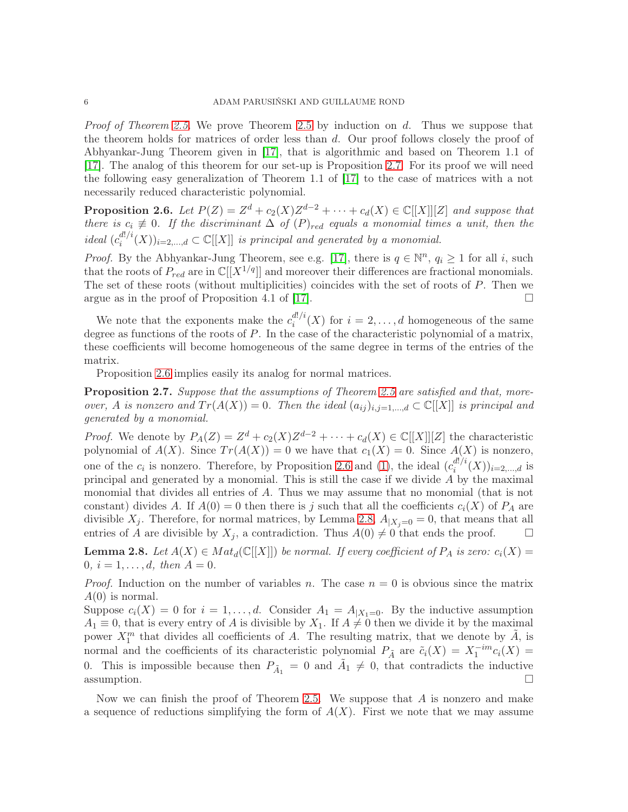*Proof of Theorem [2.5.](#page-4-0)* We prove Theorem [2.5](#page-4-0) by induction on  $d$ . Thus we suppose that the theorem holds for matrices of order less than d. Our proof follows closely the proof of Abhyankar-Jung Theorem given in [\[17\]](#page-14-8), that is algorithmic and based on Theorem 1.1 of [\[17\]](#page-14-8). The analog of this theorem for our set-up is Proposition [2.7.](#page-5-0) For its proof we will need the following easy generalization of Theorem 1.1 of [\[17\]](#page-14-8) to the case of matrices with a not necessarily reduced characteristic polynomial.

<span id="page-5-1"></span>**Proposition 2.6.** Let  $P(Z) = Z^d + c_2(X)Z^{d-2} + \cdots + c_d(X) \in \mathbb{C}[[X]][Z]$  and suppose that there is  $c_i \neq 0$ . If the discriminant  $\Delta$  of  $(P)_{red}$  equals a monomial times a unit, then the ideal  $(c_i^{d!/i})$  $\mathcal{L}^{d!/i}_i(X)_{i=2,\dots,d} \subset \mathbb{C}[[X]]$  is principal and generated by a monomial.

*Proof.* By the Abhyankar-Jung Theorem, see e.g. [\[17\]](#page-14-8), there is  $q \in \mathbb{N}^n$ ,  $q_i \ge 1$  for all i, such that the roots of  $P_{red}$  are in  $\mathbb{C}[[X^{1/q}]]$  and moreover their differences are fractional monomials. The set of these roots (without multiplicities) coincides with the set of roots of P. Then we argue as in the proof of Proposition 4.1 of [\[17\]](#page-14-8).  $\Box$ 

We note that the exponents make the  $c_i^{d!/i}$  $i^{a}$ <sup>''</sup> $(X)$  for  $i = 2, ..., d$  homogeneous of the same degree as functions of the roots of P. In the case of the characteristic polynomial of a matrix, these coefficients will become homogeneous of the same degree in terms of the entries of the matrix.

Proposition [2.6](#page-5-1) implies easily its analog for normal matrices.

<span id="page-5-0"></span>Proposition 2.7. Suppose that the assumptions of Theorem [2.5](#page-4-0) are satisfied and that, moreover, A is nonzero and  $Tr(A(X)) = 0$ . Then the ideal  $(a_{ij})_{i,j=1,\dots,d} \subset \mathbb{C}[[X]]$  is principal and generated by a monomial.

*Proof.* We denote by  $P_A(Z) = Z^d + c_2(X)Z^{d-2} + \cdots + c_d(X) \in \mathbb{C}[[X]][Z]$  the characteristic polynomial of  $A(X)$ . Since  $Tr(A(X)) = 0$  we have that  $c_1(X) = 0$ . Since  $A(X)$  is nonzero, one of the  $c_i$  is nonzero. Therefore, by Proposition [2.6](#page-5-1) and [\(1\)](#page-2-1), the ideal  $(c_i^{d!/i})$  $i^{a!/i}(X)$ <sub>i=2,...,d</sub> is principal and generated by a monomial. This is still the case if we divide  $\overline{A}$  by the maximal monomial that divides all entries of A. Thus we may assume that no monomial (that is not constant) divides A. If  $A(0) = 0$  then there is j such that all the coefficients  $c_i(X)$  of  $P_A$  are divisible  $X_j$ . Therefore, for normal matrices, by Lemma [2.8,](#page-5-2)  $A_{|X_i=0}=0$ , that means that all entries of A are divisible by  $X_j$ , a contradiction. Thus  $A(0) \neq 0$  that ends the proof.

<span id="page-5-2"></span>**Lemma 2.8.** Let  $A(X) \in Mat_d(\mathbb{C}[[X]])$  be normal. If every coefficient of  $P_A$  is zero:  $c_i(X) =$ 0,  $i = 1, ..., d$ , then  $A = 0$ .

*Proof.* Induction on the number of variables n. The case  $n = 0$  is obvious since the matrix  $A(0)$  is normal.

Suppose  $c_i(X) = 0$  for  $i = 1, ..., d$ . Consider  $A_1 = A_{X_1=0}$ . By the inductive assumption  $A_1 \equiv 0$ , that is every entry of A is divisible by  $X_1$ . If  $A \neq 0$  then we divide it by the maximal power  $X_1^m$  that divides all coefficients of A. The resulting matrix, that we denote by  $\tilde{A}$ , is normal and the coefficients of its characteristic polynomial  $P_{\tilde{A}}$  are  $\tilde{c}_i(X) = X_1^{-im} c_i(X) =$ 0. This is impossible because then  $P_{\tilde{A}_1} = 0$  and  $\tilde{A}_1 \neq 0$ , that contradicts the inductive assumption.  $\square$ 

Now we can finish the proof of Theorem [2.5.](#page-4-0) We suppose that  $A$  is nonzero and make a sequence of reductions simplifying the form of  $A(X)$ . First we note that we may assume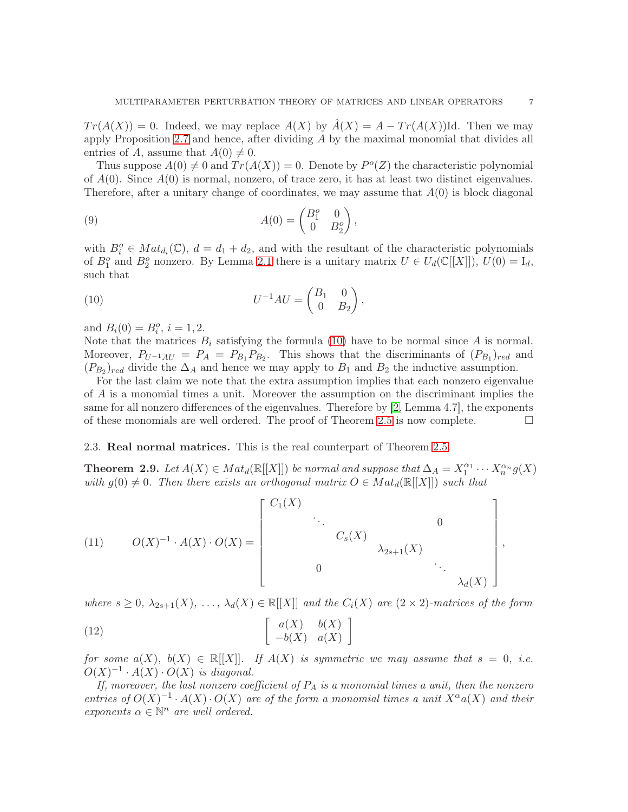$Tr(A(X)) = 0$ . Indeed, we may replace  $A(X)$  by  $\hat{A}(X) = A - Tr(A(X))$  Id. Then we may apply Proposition [2.7](#page-5-0) and hence, after dividing A by the maximal monomial that divides all entries of A, assume that  $A(0) \neq 0$ .

Thus suppose  $A(0) \neq 0$  and  $Tr(A(X)) = 0$ . Denote by  $P^o(Z)$  the characteristic polynomial of  $A(0)$ . Since  $A(0)$  is normal, nonzero, of trace zero, it has at least two distinct eigenvalues. Therefore, after a unitary change of coordinates, we may assume that  $A(0)$  is block diagonal

(9) 
$$
A(0) = \begin{pmatrix} B_1^o & 0 \\ 0 & B_2^o \end{pmatrix},
$$

with  $B_i^o \in Mat_{d_i}(\mathbb{C}), d = d_1 + d_2$ , and with the resultant of the characteristic polynomials of  $B_1^o$  and  $B_2^o$  nonzero. By Lemma [2.1](#page-2-0) there is a unitary matrix  $U \in U_d(\mathbb{C}[[X]])$ ,  $U(0) = I_d$ , such that

<span id="page-6-0"></span>(10) 
$$
U^{-1}AU = \begin{pmatrix} B_1 & 0 \\ 0 & B_2 \end{pmatrix},
$$

and  $B_i(0) = B_i^o$ ,  $i = 1, 2$ .

Note that the matrices  $B_i$  satisfying the formula [\(10\)](#page-6-0) have to be normal since A is normal. Moreover,  $P_{U^{-1}AU} = P_A = P_{B_1}P_{B_2}$ . This shows that the discriminants of  $(P_{B_1})_{red}$  and  $(P_{B_2})_{red}$  divide the  $\Delta_A$  and hence we may apply to  $B_1$  and  $B_2$  the inductive assumption.

For the last claim we note that the extra assumption implies that each nonzero eigenvalue of A is a monomial times a unit. Moreover the assumption on the discriminant implies the same for all nonzero differences of the eigenvalues. Therefore by [\[2,](#page-14-17) Lemma 4.7], the exponents of these monomials are well ordered. The proof of Theorem [2.5](#page-4-0) is now complete.  $\Box$ 

## 2.3. Real normal matrices. This is the real counterpart of Theorem [2.5.](#page-4-0)

<span id="page-6-2"></span>**Theorem 2.9.** Let  $A(X) \in Mat_d(\mathbb{R}[[X]])$  be normal and suppose that  $\Delta_A = X_1^{\alpha_1}$  $\sum_{1}^{\alpha_1} \cdots \sum_{n}^{\alpha_n} g(X)$ with  $g(0) \neq 0$ . Then there exists an orthogonal matrix  $O \in Mat_d(\mathbb{R}[[X]])$  such that

<span id="page-6-1"></span>(11) 
$$
O(X)^{-1} \cdot A(X) \cdot O(X) = \begin{bmatrix} C_1(X) & & & & & 0 \\ & \ddots & & & & 0 \\ & & C_s(X) & & & \\ & & & \lambda_{2s+1}(X) & & \\ & & & & \ddots & \\ & & & & & \lambda_d(X) \end{bmatrix}
$$
,

where  $s \geq 0$ ,  $\lambda_{2s+1}(X)$ ,  $\ldots$ ,  $\lambda_d(X) \in \mathbb{R}[[X]]$  and the  $C_i(X)$  are  $(2 \times 2)$ -matrices of the form

<span id="page-6-3"></span>(12) 
$$
\left[\begin{array}{cc} a(X) & b(X) \\ -b(X) & a(X) \end{array}\right]
$$

for some  $a(X)$ ,  $b(X) \in \mathbb{R}[[X]]$ . If  $A(X)$  is symmetric we may assume that  $s = 0$ , i.e.  $O(X)^{-1} \cdot A(X) \cdot O(X)$  is diagonal.

If, moreover, the last nonzero coefficient of  $P_A$  is a monomial times a unit, then the nonzero entries of  $O(X)^{-1} \cdot A(X) \cdot O(X)$  are of the form a monomial times a unit  $X^{\alpha}a(X)$  and their exponents  $\alpha \in \mathbb{N}^n$  are well ordered.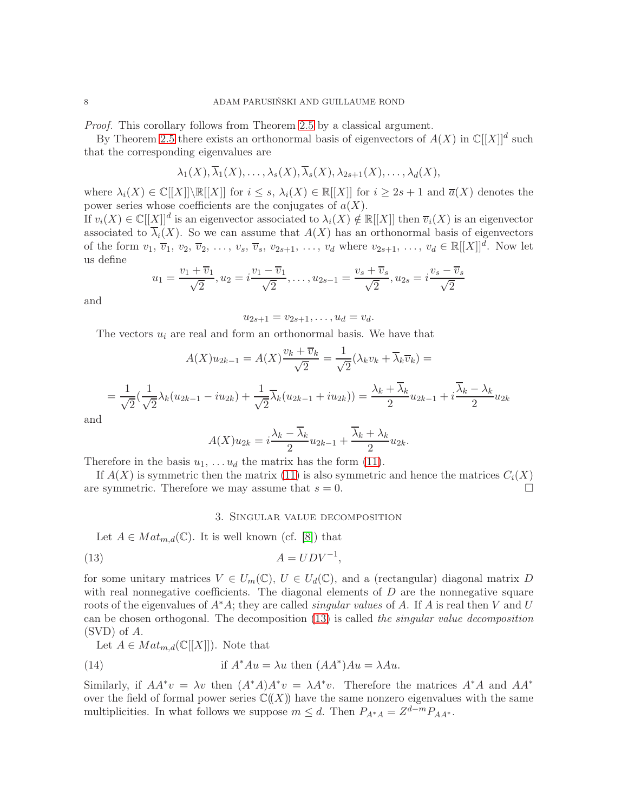Proof. This corollary follows from Theorem [2.5](#page-4-0) by a classical argument.

By Theorem [2.5](#page-4-0) there exists an orthonormal basis of eigenvectors of  $A(X)$  in  $\mathbb{C}[[X]]^d$  such that the corresponding eigenvalues are

$$
\lambda_1(X), \overline{\lambda}_1(X), \ldots, \lambda_s(X), \overline{\lambda}_s(X), \lambda_{2s+1}(X), \ldots, \lambda_d(X),
$$

where  $\lambda_i(X) \in \mathbb{C}[[X]] \setminus \mathbb{R}[[X]]$  for  $i \leq s$ ,  $\lambda_i(X) \in \mathbb{R}[[X]]$  for  $i \geq 2s + 1$  and  $\overline{a}(X)$  denotes the power series whose coefficients are the conjugates of  $a(X)$ .

If  $v_i(X) \in \mathbb{C}[[\underline{X}]]^d$  is an eigenvector associated to  $\lambda_i(X) \notin \mathbb{R}[[X]]$  then  $\overline{v}_i(X)$  is an eigenvector associated to  $\overline{\lambda}_i(X)$ . So we can assume that  $A(X)$  has an orthonormal basis of eigenvectors of the form  $v_1, \overline{v}_1, v_2, \overline{v}_2, \ldots, v_s, \overline{v}_s, v_{2s+1}, \ldots, v_d$  where  $v_{2s+1}, \ldots, v_d \in \mathbb{R}[[X]]^d$ . Now let us define

$$
u_1 = \frac{v_1 + \overline{v}_1}{\sqrt{2}}, u_2 = i\frac{v_1 - \overline{v}_1}{\sqrt{2}}, \dots, u_{2s-1} = \frac{v_s + \overline{v}_s}{\sqrt{2}}, u_{2s} = i\frac{v_s - \overline{v}_s}{\sqrt{2}}
$$

and

 $u_{2s+1} = v_{2s+1}, \ldots, u_d = v_d.$ 

The vectors  $u_i$  are real and form an orthonormal basis. We have that

$$
A(X)u_{2k-1} = A(X)\frac{v_k + \overline{v}_k}{\sqrt{2}} = \frac{1}{\sqrt{2}}(\lambda_k v_k + \overline{\lambda}_k \overline{v}_k) =
$$
  
=  $\frac{1}{\sqrt{2}}(\frac{1}{\sqrt{2}}\lambda_k(u_{2k-1} - iu_{2k}) + \frac{1}{\sqrt{2}}\overline{\lambda}_k(u_{2k-1} + iu_{2k})) = \frac{\lambda_k + \overline{\lambda}_k}{2}u_{2k-1} + i\frac{\overline{\lambda}_k - \lambda_k}{2}u_{2k}$ 

and

$$
A(X)u_{2k} = i\frac{\lambda_k - \overline{\lambda}_k}{2}u_{2k-1} + \frac{\overline{\lambda}_k + \lambda_k}{2}u_{2k}.
$$

Therefore in the basis  $u_1, \ldots, u_d$  the matrix has the form [\(11\)](#page-6-1).

<span id="page-7-0"></span>If  $A(X)$  is symmetric then the matrix [\(11\)](#page-6-1) is also symmetric and hence the matrices  $C_i(X)$ are symmetric. Therefore we may assume that  $s = 0$ .

#### 3. Singular value decomposition

Let  $A \in Mat_{m,d}(\mathbb{C})$ . It is well known (cf. [\[8\]](#page-14-18)) that

<span id="page-7-1"></span>
$$
(13)\qquad \qquad A = UDV^{-1},
$$

for some unitary matrices  $V \in U_m(\mathbb{C}), U \in U_d(\mathbb{C}),$  and a (rectangular) diagonal matrix D with real nonnegative coefficients. The diagonal elements of  $D$  are the nonnegative square roots of the eigenvalues of  $A^*A$ ; they are called *singular values* of A. If A is real then V and U can be chosen orthogonal. The decomposition [\(13\)](#page-7-1) is called the singular value decomposition (SVD) of A.

Let  $A \in Mat_{m,d}(\mathbb{C}[[X]])$ . Note that

(14) if 
$$
A^*Au = \lambda u
$$
 then  $(AA^*)Au = \lambda Au$ .

Similarly, if  $AA^*v = \lambda v$  then  $(A^*A)A^*v = \lambda A^*v$ . Therefore the matrices  $A^*A$  and  $AA^*$ over the field of formal power series  $\mathbb{C}(\!(X)\!)$  have the same nonzero eigenvalues with the same multiplicities. In what follows we suppose  $m \leq d$ . Then  $P_{A^*A} = Z^{d-m} P_{AA^*}$ .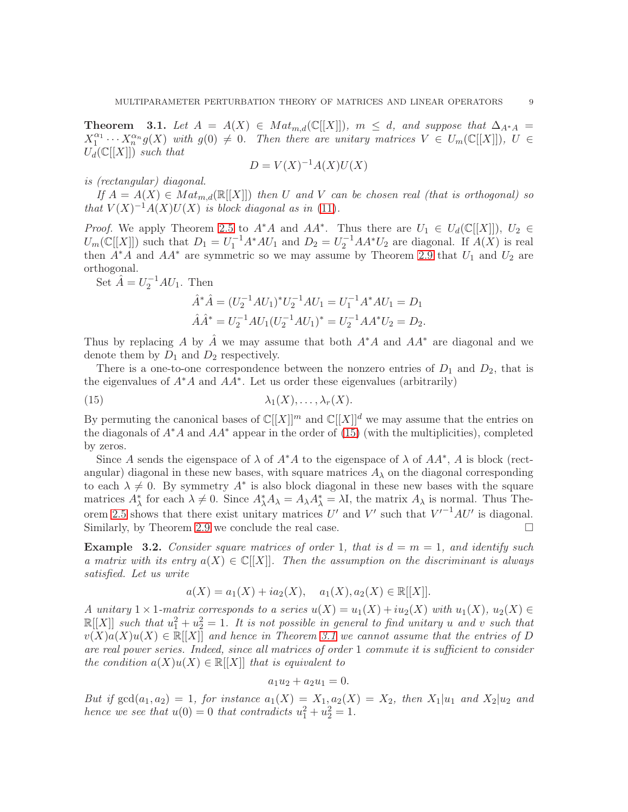<span id="page-8-1"></span>**Theorem** 3.1. Let  $A = A(X) \in Mat_{m,d}(\mathbb{C}[[X]])$ ,  $m \leq d$ , and suppose that  $\Delta_{A^*A} =$  $X_1^{\alpha_1}$  $\Lambda_1^{\alpha_1} \cdots \Lambda_n^{\alpha_n} g(X)$  with  $g(0) \neq 0$ . Then there are unitary matrices  $V \in U_m(\mathbb{C}[[X]])$ ,  $U \in$  $U_d(\mathbb{C}[[X]])$  such that

$$
D = V(X)^{-1}A(X)U(X)
$$

is (rectangular) diagonal.

If  $A = A(X) \in Mat_{m,d}(\mathbb{R}[[X]])$  then U and V can be chosen real (that is orthogonal) so that  $V(X)^{-1}A(X)U(X)$  is block diagonal as in [\(11\)](#page-6-1).

*Proof.* We apply Theorem [2.5](#page-4-0) to  $A^*A$  and  $AA^*$ . Thus there are  $U_1 \in U_d(\mathbb{C}[[X]])$ ,  $U_2 \in$  $U_m(\mathbb{C}[[X]])$  such that  $D_1 = U_1^{-1}A^*AU_1$  and  $D_2 = U_2^{-1}AA^*U_2$  are diagonal. If  $A(X)$  is real then  $A^*A$  and  $AA^*$  are symmetric so we may assume by Theorem [2.9](#page-6-2) that  $U_1$  and  $U_2$  are orthogonal.

Set  $\hat{A} = U_2^{-1} A U_1$ . Then

$$
\hat{A}^* \hat{A} = (U_2^{-1} A U_1)^* U_2^{-1} A U_1 = U_1^{-1} A^* A U_1 = D_1
$$
  

$$
\hat{A} \hat{A}^* = U_2^{-1} A U_1 (U_2^{-1} A U_1)^* = U_2^{-1} A A^* U_2 = D_2.
$$

Thus by replacing A by A we may assume that both  $A^*A$  and  $AA^*$  are diagonal and we denote them by  $D_1$  and  $D_2$  respectively.

There is a one-to-one correspondence between the nonzero entries of  $D_1$  and  $D_2$ , that is the eigenvalues of  $A^*A$  and  $AA^*$ . Let us order these eigenvalues (arbitrarily)

<span id="page-8-0"></span>(15) 
$$
\lambda_1(X), \ldots, \lambda_r(X).
$$

By permuting the canonical bases of  $\mathbb{C}[[X]]^m$  and  $\mathbb{C}[[X]]^d$  we may assume that the entries on the diagonals of  $A^*A$  and  $AA^*$  appear in the order of [\(15\)](#page-8-0) (with the multiplicities), completed by zeros.

Since A sends the eigenspace of  $\lambda$  of  $A^*A$  to the eigenspace of  $\lambda$  of  $AA^*$ , A is block (rectangular) diagonal in these new bases, with square matrices  $A_{\lambda}$  on the diagonal corresponding to each  $\lambda \neq 0$ . By symmetry  $A^*$  is also block diagonal in these new bases with the square matrices  $A^*_{\lambda}$  for each  $\lambda \neq 0$ . Since  $A^*_{\lambda}A_{\lambda} = A_{\lambda}A^*_{\lambda} = \lambda I$ , the matrix  $A_{\lambda}$  is normal. Thus The-orem [2.5](#page-4-0) shows that there exist unitary matrices U' and V' such that  $V'^{-1}AU'$  is diagonal. Similarly, by Theorem [2.9](#page-6-2) we conclude the real case.

**Example 3.2.** Consider square matrices of order 1, that is  $d = m = 1$ , and identify such a matrix with its entry  $a(X) \in \mathbb{C}[[X]]$ . Then the assumption on the discriminant is always satisfied. Let us write

$$
a(X) = a_1(X) + ia_2(X), \quad a_1(X), a_2(X) \in \mathbb{R}[[X]].
$$

A unitary  $1 \times 1$ -matrix corresponds to a series  $u(X) = u_1(X) + iu_2(X)$  with  $u_1(X)$ ,  $u_2(X) \in$  $\mathbb{R}[[X]]$  such that  $u_1^2 + u_2^2 = 1$ . It is not possible in general to find unitary u and v such that  $v(X)a(X)u(X) \in \mathbb{R}[[X]]$  and hence in Theorem [3.1](#page-8-1) we cannot assume that the entries of D are real power series. Indeed, since all matrices of order 1 commute it is sufficient to consider the condition  $a(X)u(X) \in \mathbb{R}[[X]]$  that is equivalent to

$$
a_1u_2 + a_2u_1 = 0.
$$

But if  $gcd(a_1, a_2) = 1$ , for instance  $a_1(X) = X_1$ ,  $a_2(X) = X_2$ , then  $X_1|u_1$  and  $X_2|u_2$  and hence we see that  $u(0) = 0$  that contradicts  $u_1^2 + u_2^2 = 1$ .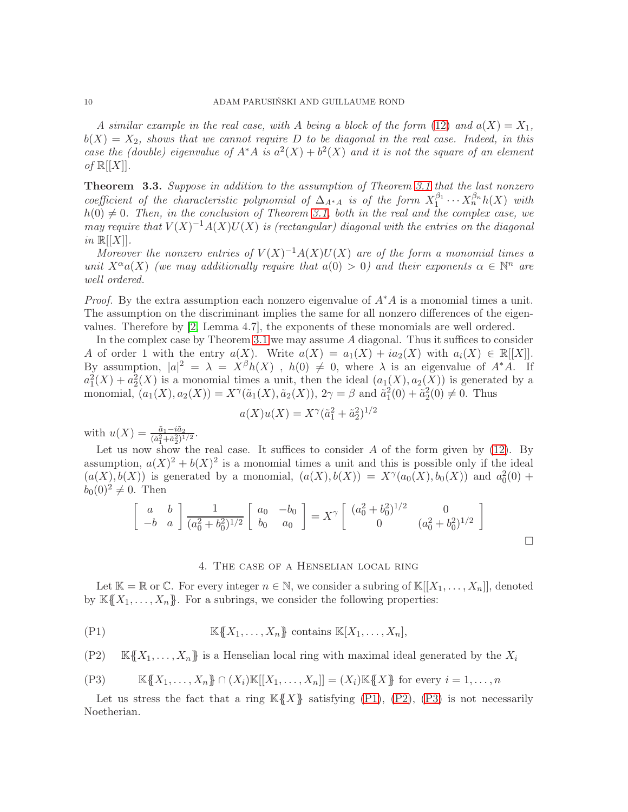A similar example in the real case, with A being a block of the form [\(12\)](#page-6-3) and  $a(X) = X_1$ ,  $b(X) = X_2$ , shows that we cannot require D to be diagonal in the real case. Indeed, in this case the (double) eigenvalue of  $A^*A$  is  $a^2(X) + b^2(X)$  and it is not the square of an element of  $\mathbb{R}[[X]].$ 

<span id="page-9-4"></span>**Theorem 3.3.** Suppose in addition to the assumption of Theorem [3.1](#page-8-1) that the last nonzero coefficient of the characteristic polynomial of  $\Delta_{A^*A}$  is of the form  $X_1^{\beta_1}$  $X_1^{\beta_1} \cdots X_n^{\beta_n} h(X)$  with  $h(0) \neq 0$ . Then, in the conclusion of Theorem [3.1,](#page-8-1) both in the real and the complex case, we may require that  $V(X)^{-1}A(X)U(X)$  is (rectangular) diagonal with the entries on the diagonal in  $\mathbb{R}[[X]]$ .

Moreover the nonzero entries of  $V(X)^{-1}A(X)U(X)$  are of the form a monomial times a unit  $X^{\alpha}a(X)$  (we may additionally require that  $a(0) > 0$ ) and their exponents  $\alpha \in \mathbb{N}^n$  are well ordered.

*Proof.* By the extra assumption each nonzero eigenvalue of  $A^*A$  is a monomial times a unit. The assumption on the discriminant implies the same for all nonzero differences of the eigenvalues. Therefore by [\[2,](#page-14-17) Lemma 4.7], the exponents of these monomials are well ordered.

In the complex case by Theorem [3.1](#page-8-1) we may assume A diagonal. Thus it suffices to consider A of order 1 with the entry  $a(X)$ . Write  $a(X) = a_1(X) + ia_2(X)$  with  $a_i(X) \in \mathbb{R}[[X]]$ . By assumption,  $|a|^2 = \lambda = X^{\beta}h(X)$ ,  $h(0) \neq 0$ , where  $\lambda$  is an eigenvalue of  $A^*A$ . If  $a_1^2(X) + a_2^2(X)$  is a monomial times a unit, then the ideal  $(a_1(X), a_2(X))$  is generated by a monomial,  $(a_1(X), a_2(X)) = X^{\gamma}(\tilde{a}_1(X), \tilde{a}_2(X)), 2\gamma = \beta$  and  $\tilde{a}_1^2(0) + \tilde{a}_2^2(0) \neq 0$ . Thus

$$
a(X)u(X) = X^{\gamma}(\tilde{a}_1^2 + \tilde{a}_2^2)^{1/2}
$$

with  $u(X) = \frac{\tilde{a}_1 - i\tilde{a}_2}{(\tilde{a}_1^2 + \tilde{a}_2^2)^{1/2}}$ .

Let us now show the real case. It suffices to consider  $A$  of the form given by  $(12)$ . By assumption,  $a(X)^2 + b(X)^2$  is a monomial times a unit and this is possible only if the ideal  $(a(X), b(X))$  is generated by a monomial,  $(a(X), b(X)) = X^{\gamma}(a_0(X), b_0(X))$  and  $a_0^2(0)$  +  $b_0(0)^2 \neq 0$ . Then

$$
\begin{bmatrix} a & b \ -b & a \end{bmatrix} \frac{1}{(a_0^2 + b_0^2)^{1/2}} \begin{bmatrix} a_0 & -b_0 \ b_0 & a_0 \end{bmatrix} = X^{\gamma} \begin{bmatrix} (a_0^2 + b_0^2)^{1/2} & 0 \\ 0 & (a_0^2 + b_0^2)^{1/2} \end{bmatrix}
$$

#### 4. The case of a Henselian local ring

<span id="page-9-0"></span>Let  $\mathbb{K} = \mathbb{R}$  or  $\mathbb{C}$ . For every integer  $n \in \mathbb{N}$ , we consider a subring of  $\mathbb{K}[[X_1,\ldots,X_n]]$ , denoted by  $K\{X_1,\ldots,X_n\}$ . For a subrings, we consider the following properties:

<span id="page-9-1"></span>
$$
(P1) \t\t K\{\!\!\{X_1,\ldots,X_n\}\!\!\} contains K[X_1,\ldots,X_n],
$$

<span id="page-9-2"></span>(P2) 
$$
\mathbb{K}\lbrace X_1,\ldots,X_n\rbrace
$$
 is a Henselian local ring with maximal ideal generated by the  $X_i$ 

<span id="page-9-3"></span>
$$
(P3) \t\t\t\t\mathbb{K}\{\!\!\{X_1,\ldots,X_n\}\!\!\} \cap (X_i)\mathbb{K}[[X_1,\ldots,X_n]] = (X_i)\mathbb{K}\{\!\!\{X\}\!\!\} \text{ for every } i = 1,\ldots,n
$$

Let us stress the fact that a ring  $K(X)$  satisfying [\(P1\)](#page-9-1), [\(P2\)](#page-9-2), [\(P3\)](#page-9-3) is not necessarily Noetherian.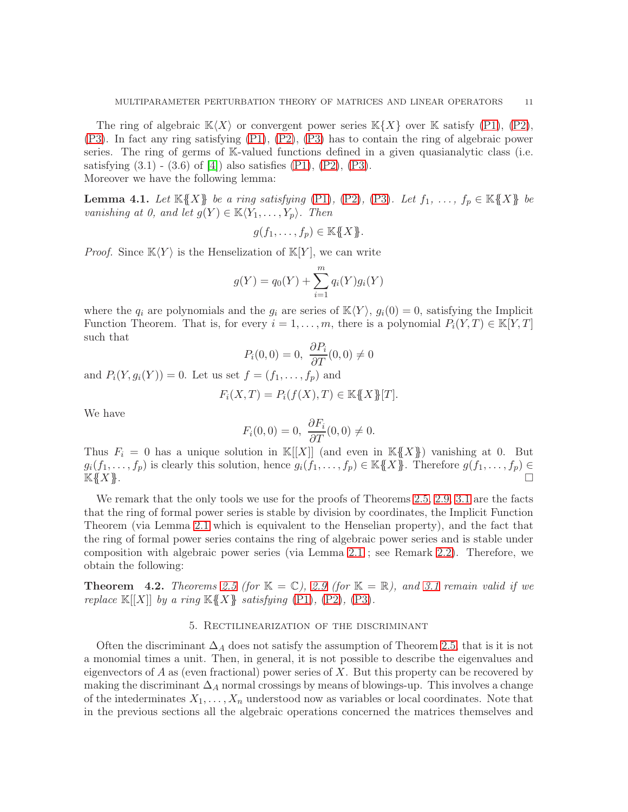The ring of algebraic  $\mathbb{K}\langle X\rangle$  or convergent power series  $\mathbb{K}\{X\}$  over  $\mathbb{K}$  satisfy [\(P1\)](#page-9-1), [\(P2\)](#page-9-2), [\(P3\)](#page-9-3). In fact any ring satisfying [\(P1\)](#page-9-1), [\(P2\)](#page-9-2), [\(P3\)](#page-9-3) has to contain the ring of algebraic power series. The ring of germs of K-valued functions defined in a given quasianalytic class (i.e. satisfying  $(3.1)$  -  $(3.6)$  of  $[4]$ ) also satisfies  $(P1)$ ,  $(P2)$ ,  $(P3)$ .

Moreover we have the following lemma:

**Lemma 4.1.** Let  $\mathbb{K}\{X\}$  be a ring satisfying [\(P1\)](#page-9-1), [\(P2\)](#page-9-2), [\(P3\)](#page-9-3). Let  $f_1, \ldots, f_p \in \mathbb{K}\{X\}$  be vanishing at 0, and let  $g(Y) \in \mathbb{K}\langle Y_1,\ldots,Y_p\rangle$ . Then

$$
g(f_1,\ldots,f_p)\in \mathbb{K}\{\!\!\{X\}\!\!\}.
$$

*Proof.* Since  $\mathbb{K}\langle Y \rangle$  is the Henselization of  $\mathbb{K}[Y]$ , we can write

$$
g(Y) = q_0(Y) + \sum_{i=1}^{m} q_i(Y)g_i(Y)
$$

where the  $q_i$  are polynomials and the  $g_i$  are series of  $\mathbb{K}\langle Y \rangle$ ,  $g_i(0) = 0$ , satisfying the Implicit Function Theorem. That is, for every  $i = 1, \ldots, m$ , there is a polynomial  $P_i(Y, T) \in \mathbb{K}[Y, T]$ such that

$$
P_i(0,0) = 0, \ \frac{\partial P_i}{\partial T}(0,0) \neq 0
$$

and  $P_i(Y, g_i(Y)) = 0$ . Let us set  $f = (f_1, ..., f_p)$  and

$$
F_i(X, T) = P_i(f(X), T) \in K\{X\} [T].
$$

We have

$$
F_i(0,0) = 0, \ \frac{\partial F_i}{\partial T}(0,0) \neq 0.
$$

Thus  $F_i = 0$  has a unique solution in  $\mathbb{K}[[X]]$  (and even in  $\mathbb{K}[[X]]$ ) vanishing at 0. But  $g_i(f_1,\ldots,f_p)$  is clearly this solution, hence  $g_i(f_1,\ldots,f_p) \in \mathbb{K}\lbrace \!\!\!\{X\rbrace \!\!\!\}$ . Therefore  $g(f_1,\ldots,f_p) \in$  $K(X)$ .

We remark that the only tools we use for the proofs of Theorems [2.5,](#page-4-0) [2.9,](#page-6-2) [3.1](#page-8-1) are the facts that the ring of formal power series is stable by division by coordinates, the Implicit Function Theorem (via Lemma [2.1](#page-2-0) which is equivalent to the Henselian property), and the fact that the ring of formal power series contains the ring of algebraic power series and is stable under composition with algebraic power series (via Lemma [2.1](#page-2-0) ; see Remark [2.2\)](#page-4-2). Therefore, we obtain the following:

<span id="page-10-1"></span><span id="page-10-0"></span>**Theorem 4.2.** Theorems [2.5](#page-4-0) (for  $\mathbb{K} = \mathbb{C}$ ), [2.9](#page-6-2) (for  $\mathbb{K} = \mathbb{R}$ ), and [3.1](#page-8-1) remain valid if we replace  $\mathbb{K}[[X]]$  by a ring  $\mathbb{K}\{X\}$  satisfying  $(P1)$ ,  $(P2)$ ,  $(P3)$ .

## 5. Rectilinearization of the discriminant

Often the discriminant  $\Delta_A$  does not satisfy the assumption of Theorem [2.5,](#page-4-0) that is it is not a monomial times a unit. Then, in general, it is not possible to describe the eigenvalues and eigenvectors of  $A$  as (even fractional) power series of  $X$ . But this property can be recovered by making the discriminant  $\Delta_A$  normal crossings by means of blowings-up. This involves a change of the intederminates  $X_1, \ldots, X_n$  understood now as variables or local coordinates. Note that in the previous sections all the algebraic operations concerned the matrices themselves and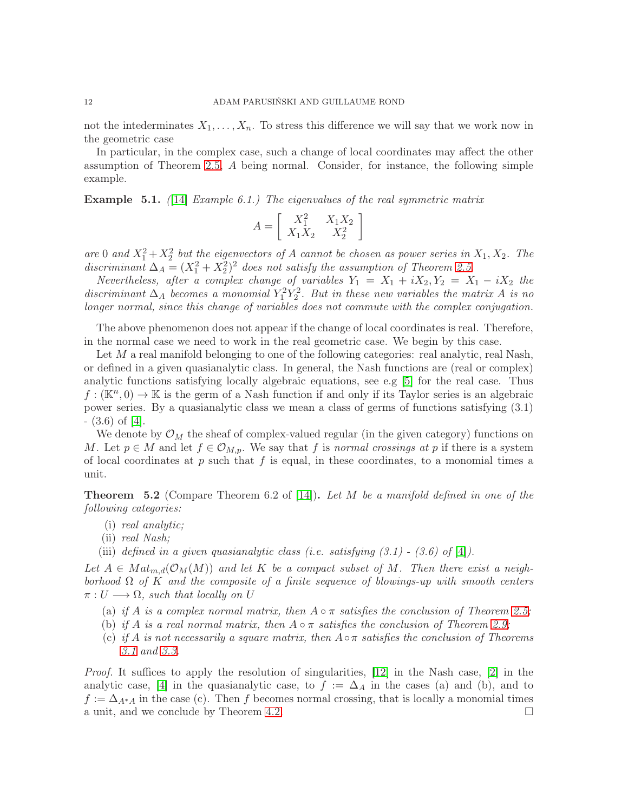not the intederminates  $X_1, \ldots, X_n$ . To stress this difference we will say that we work now in the geometric case

In particular, in the complex case, such a change of local coordinates may affect the other assumption of Theorem [2.5,](#page-4-0) A being normal. Consider, for instance, the following simple example.

**Example 5.1.** ([\[14\]](#page-14-4) Example 6.1.) The eigenvalues of the real symmetric matrix

$$
A = \left[ \begin{array}{cc} X_1^2 & X_1 X_2 \\ X_1 X_2 & X_2^2 \end{array} \right]
$$

are 0 and  $X_1^2 + X_2^2$  but the eigenvectors of A cannot be chosen as power series in  $X_1, X_2$ . The discriminant  $\Delta_A = (X_1^2 + X_2^2)^2$  does not satisfy the assumption of Theorem [2.5.](#page-4-0)

Nevertheless, after a complex change of variables  $Y_1 = X_1 + iX_2, Y_2 = X_1 - iX_2$  the discriminant  $\Delta_A$  becomes a monomial  $Y_1^2 Y_2^2$ . But in these new variables the matrix A is no longer normal, since this change of variables does not commute with the complex conjugation.

The above phenomenon does not appear if the change of local coordinates is real. Therefore, in the normal case we need to work in the real geometric case. We begin by this case.

Let  $M$  a real manifold belonging to one of the following categories: real analytic, real Nash, or defined in a given quasianalytic class. In general, the Nash functions are (real or complex) analytic functions satisfying locally algebraic equations, see e.g [\[5\]](#page-14-16) for the real case. Thus  $f : (\mathbb{K}^n, 0) \to \mathbb{K}$  is the germ of a Nash function if and only if its Taylor series is an algebraic power series. By a quasianalytic class we mean a class of germs of functions satisfying (3.1) - (3.6) of [\[4\]](#page-14-19).

We denote by  $\mathcal{O}_M$  the sheaf of complex-valued regular (in the given category) functions on M. Let  $p \in M$  and let  $f \in \mathcal{O}_{M,p}$ . We say that f is normal crossings at p if there is a system of local coordinates at  $p$  such that  $f$  is equal, in these coordinates, to a monomial times a unit.

<span id="page-11-0"></span>**Theorem 5.2** (Compare Theorem 6.2 of [\[14\]](#page-14-4)). Let M be a manifold defined in one of the following categories:

- (i) real analytic;
- (ii) real Nash;
- (iii) defined in a given quasianalytic class (i.e. satisfying  $(3.1)$   $(3.6)$  of [\[4\]](#page-14-19)).

Let  $A \in Mat_{m,d}(\mathcal{O}_M(M))$  and let K be a compact subset of M. Then there exist a neighborhood  $\Omega$  of K and the composite of a finite sequence of blowings-up with smooth centers  $\pi: U \longrightarrow \Omega$ , such that locally on U

- (a) if A is a complex normal matrix, then  $A \circ \pi$  satisfies the conclusion of Theorem [2.5;](#page-4-0)
- (b) if A is a real normal matrix, then  $A \circ \pi$  satisfies the conclusion of Theorem [2.9;](#page-6-2)
- (c) if A is not necessarily a square matrix, then  $A \circ \pi$  satisfies the conclusion of Theorems [3.1](#page-8-1) and [3.3.](#page-9-4)

Proof. It suffices to apply the resolution of singularities, [\[12\]](#page-14-20) in the Nash case, [\[2\]](#page-14-17) in the analytic case, [\[4\]](#page-14-19) in the quasianalytic case, to  $f := \Delta_A$  in the cases (a) and (b), and to  $f := \Delta_{A^*A}$  in the case (c). Then f becomes normal crossing, that is locally a monomial times a unit, and we conclude by Theorem [4.2.](#page-10-1)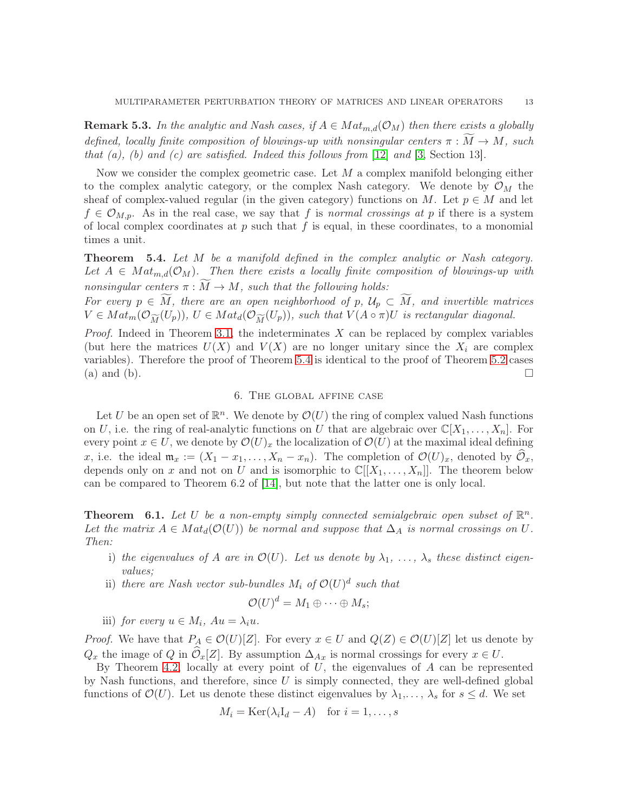**Remark 5.3.** In the analytic and Nash cases, if  $A \in Mat_{m,d}(\mathcal{O}_M)$  then there exists a globally defined, locally finite composition of blowings-up with nonsingular centers  $\pi : \overline{M} \to M$ , such that  $(a)$ ,  $(b)$  and  $(c)$  are satisfied. Indeed this follows from [\[12\]](#page-14-20) and [\[3,](#page-14-21) Section 13].

Now we consider the complex geometric case. Let  $M$  a complex manifold belonging either to the complex analytic category, or the complex Nash category. We denote by  $\mathcal{O}_M$  the sheaf of complex-valued regular (in the given category) functions on M. Let  $p \in M$  and let  $f \in \mathcal{O}_{M,p}$ . As in the real case, we say that f is normal crossings at p if there is a system of local complex coordinates at  $p$  such that  $f$  is equal, in these coordinates, to a monomial times a unit.

<span id="page-12-1"></span>Theorem 5.4. Let M be a manifold defined in the complex analytic or Nash category. Let  $A \in Mat_{m,d}(\mathcal{O}_M)$ . Then there exists a locally finite composition of blowings-up with nonsingular centers  $\pi : M \to M$ , such that the following holds:

For every  $p \in M$ , there are an open neighborhood of p,  $\mathcal{U}_p \subset M$ , and invertible matrices  $V \in Mat_m(\mathcal{O}_{\widetilde{M}}(U_p)), U \in Mat_d(\mathcal{O}_{\widetilde{M}}(U_p)),$  such that  $V(A \circ \pi)U$  is rectangular diagonal.

*Proof.* Indeed in Theorem [3.1,](#page-8-1) the indeterminates  $X$  can be replaced by complex variables (but here the matrices  $U(X)$  and  $V(X)$  are no longer unitary since the  $X_i$  are complex variables). Therefore the proof of Theorem [5.4](#page-12-1) is identical to the proof of Theorem [5.2](#page-11-0) cases (a) and (b).  $\Box$ 

# 6. The global affine case

Let U be an open set of  $\mathbb{R}^n$ . We denote by  $\mathcal{O}(U)$  the ring of complex valued Nash functions on U, i.e. the ring of real-analytic functions on U that are algebraic over  $\mathbb{C}[X_1, \ldots, X_n]$ . For every point  $x \in U$ , we denote by  $\mathcal{O}(U)_x$  the localization of  $\mathcal{O}(U)$  at the maximal ideal defining x, i.e. the ideal  $\mathfrak{m}_x := (X_1 - x_1, \ldots, X_n - x_n)$ . The completion of  $\mathcal{O}(U)_x$ , denoted by  $\mathcal{O}_x$ , depends only on x and not on U and is isomorphic to  $\mathbb{C}[[X_1,\ldots,X_n]]$ . The theorem below can be compared to Theorem 6.2 of [\[14\]](#page-14-4), but note that the latter one is only local.

<span id="page-12-0"></span>**Theorem** 6.1. Let U be a non-empty simply connected semialgebraic open subset of  $\mathbb{R}^n$ . Let the matrix  $A \in Mat_d(\mathcal{O}(U))$  be normal and suppose that  $\Delta_A$  is normal crossings on U. Then:

- i) the eigenvalues of A are in  $\mathcal{O}(U)$ . Let us denote by  $\lambda_1, \ldots, \lambda_s$  these distinct eigenvalues;
- ii) there are Nash vector sub-bundles  $M_i$  of  $\mathcal{O}(U)^d$  such that

$$
\mathcal{O}(U)^d = M_1 \oplus \cdots \oplus M_s;
$$

iii) for every  $u \in M_i$ ,  $Au = \lambda_i u$ .

*Proof.* We have that  $P_A \in \mathcal{O}(U)[Z]$ . For every  $x \in U$  and  $Q(Z) \in \mathcal{O}(U)[Z]$  let us denote by  $Q_x$  the image of Q in  $\widehat{\mathcal{O}}_x[Z]$ . By assumption  $\Delta_{Ax}$  is normal crossings for every  $x \in U$ .

By Theorem [4.2,](#page-10-1) locally at every point of  $U$ , the eigenvalues of  $A$  can be represented by Nash functions, and therefore, since  $U$  is simply connected, they are well-defined global functions of  $\mathcal{O}(U)$ . Let us denote these distinct eigenvalues by  $\lambda_1,\ldots,\lambda_s$  for  $s \leq d$ . We set

$$
M_i = \text{Ker}(\lambda_i I_d - A) \quad \text{for } i = 1, \dots, s
$$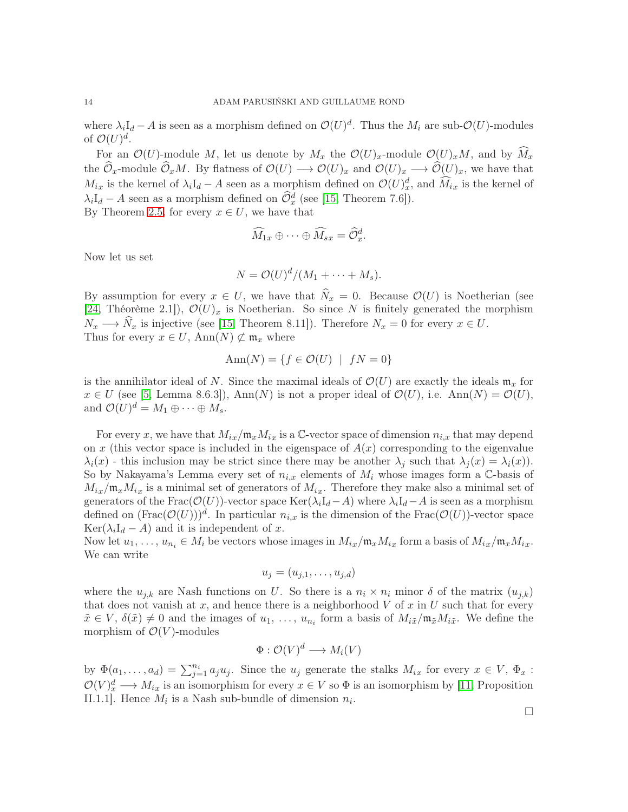where  $\lambda_i I_d - A$  is seen as a morphism defined on  $\mathcal{O}(U)^d$ . Thus the  $M_i$  are sub- $\mathcal{O}(U)$ -modules of  $\mathcal{O}(U)^d$ .

For an  $\mathcal{O}(U)$ -module M, let us denote by  $M_x$  the  $\mathcal{O}(U)_x$ -module  $\mathcal{O}(U)_xM$ , and by  $\widetilde{M}_x$ the  $\widehat{\mathcal{O}}_x$ -module  $\widehat{\mathcal{O}}_x M$ . By flatness of  $\mathcal{O}(U) \longrightarrow \mathcal{O}(U)_x$  and  $\mathcal{O}(U)_x \longrightarrow \widehat{\mathcal{O}}(U)_x$ , we have that  $M_{ix}$  is the kernel of  $\lambda_i I_d - A$  seen as a morphism defined on  $\mathcal{O}(U)_x^d$ , and  $\widehat{M}_{ix}$  is the kernel of  $\lambda_i I_d - A$  seen as a morphism defined on  $\hat{\mathcal{O}}_x^d$  (see [\[15,](#page-14-22) Theorem 7.6]).

By Theorem [2.5,](#page-4-0) for every  $x \in U$ , we have that

$$
\widehat{M}_{1x}\oplus\cdots\oplus\widehat{M}_{sx}=\widehat{\mathcal{O}}_x^d.
$$

Now let us set

$$
N = \mathcal{O}(U)^d/(M_1 + \cdots + M_s).
$$

By assumption for every  $x \in U$ , we have that  $\widehat{N}_x = 0$ . Because  $\mathcal{O}(U)$  is Noetherian (see [\[24,](#page-14-23) Théorème 2.1]),  $\mathcal{O}(U)_x$  is Noetherian. So since N is finitely generated the morphism  $N_x \longrightarrow \widehat{N}_x$  is injective (see [\[15,](#page-14-22) Theorem 8.11]). Therefore  $N_x = 0$  for every  $x \in U$ . Thus for every  $x \in U$ , Ann $(N) \not\subset \mathfrak{m}_x$  where

$$
Ann(N) = \{ f \in \mathcal{O}(U) \mid fN = 0 \}
$$

is the annihilator ideal of N. Since the maximal ideals of  $\mathcal{O}(U)$  are exactly the ideals  $\mathfrak{m}_x$  for  $x \in U$  (see [\[5,](#page-14-16) Lemma 8.6.3]), Ann(N) is not a proper ideal of  $\mathcal{O}(U)$ , i.e. Ann(N) =  $\mathcal{O}(U)$ , and  $\mathcal{O}(U)^d = M_1 \oplus \cdots \oplus M_s$ .

For every x, we have that  $M_{ix}/m_xM_{ix}$  is a C-vector space of dimension  $n_{i,x}$  that may depend on x (this vector space is included in the eigenspace of  $A(x)$  corresponding to the eigenvalue  $\lambda_i(x)$  - this inclusion may be strict since there may be another  $\lambda_j$  such that  $\lambda_j(x) = \lambda_i(x)$ . So by Nakayama's Lemma every set of  $n_{i,x}$  elements of  $M_i$  whose images form a C-basis of  $M_{ix}/\mathfrak{m}_x M_{ix}$  is a minimal set of generators of  $M_{ix}$ . Therefore they make also a minimal set of generators of the Frac( $\mathcal{O}(U)$ )-vector space Ker( $\lambda_i I_d-A$ ) where  $\lambda_i I_d-A$  is seen as a morphism defined on  $(\text{Frac}(\mathcal{O}(U)))^d$ . In particular  $n_{i,x}$  is the dimension of the  $\text{Frac}(\mathcal{O}(U))$ -vector space  $\text{Ker}(\lambda_i I_d - A)$  and it is independent of x.

Now let  $u_1, \ldots, u_{n_i} \in M_i$  be vectors whose images in  $M_{ix}/m_x M_{ix}$  form a basis of  $M_{ix}/m_x M_{ix}$ . We can write

$$
u_j=(u_{j,1},\ldots,u_{j,d})
$$

where the  $u_{i,k}$  are Nash functions on U. So there is a  $n_i \times n_i$  minor  $\delta$  of the matrix  $(u_{i,k})$ that does not vanish at x, and hence there is a neighborhood  $V$  of x in U such that for every  $\tilde{x} \in V$ ,  $\delta(\tilde{x}) \neq 0$  and the images of  $u_1, \ldots, u_{n_i}$  form a basis of  $M_{i\tilde{x}}/\mathfrak{m}_{\tilde{x}}M_{i\tilde{x}}$ . We define the morphism of  $\mathcal{O}(V)$ -modules

$$
\Phi: \mathcal{O}(V)^d \longrightarrow M_i(V)
$$

by  $\Phi(a_1,\ldots,a_d) = \sum_{j=1}^{n_i} a_j u_j$ . Since the  $u_j$  generate the stalks  $M_{ix}$  for every  $x \in V$ ,  $\Phi_x$ :  $\mathcal{O}(V)^d_x \longrightarrow M_{ix}$  is an isomorphism for every  $x \in V$  so  $\Phi$  is an isomorphism by [\[11,](#page-14-24) Proposition II.1.1]. Hence  $M_i$  is a Nash sub-bundle of dimension  $n_i$ .

 $\Box$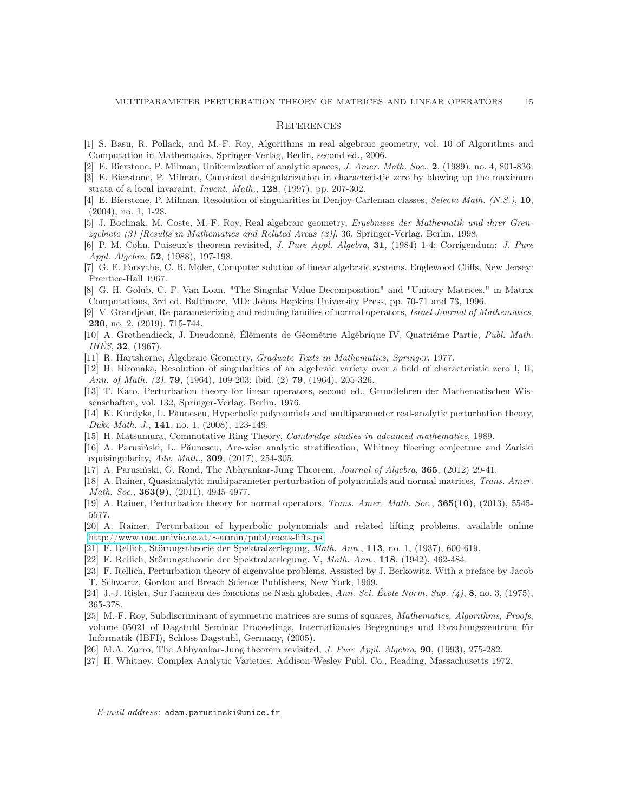#### **REFERENCES**

- <span id="page-14-17"></span><span id="page-14-13"></span>[1] S. Basu, R. Pollack, and M.-F. Roy, Algorithms in real algebraic geometry, vol. 10 of Algorithms and Computation in Mathematics, Springer-Verlag, Berlin, second ed., 2006.
- <span id="page-14-21"></span>[2] E. Bierstone, P. Milman, Uniformization of analytic spaces, J. Amer. Math. Soc., 2, (1989), no. 4, 801-836.
- [3] E. Bierstone, P. Milman, Canonical desingularization in characteristic zero by blowing up the maximum strata of a local invaraint, Invent. Math., 128, (1997), pp. 207-302.
- <span id="page-14-19"></span>[4] E. Bierstone, P. Milman, Resolution of singularities in Denjoy-Carleman classes, Selecta Math. (N.S.), 10, (2004), no. 1, 1-28.
- <span id="page-14-16"></span>[5] J. Bochnak, M. Coste, M.-F. Roy, Real algebraic geometry, Ergebnisse der Mathematik und ihrer Grenzgebiete (3) [Results in Mathematics and Related Areas (3)], 36. Springer-Verlag, Berlin, 1998.
- <span id="page-14-14"></span>[6] P. M. Cohn, Puiseux's theorem revisited, J. Pure Appl. Algebra, 31, (1984) 1-4; Corrigendum: J. Pure Appl. Algebra, 52, (1988), 197-198.
- <span id="page-14-18"></span>[7] G. E. Forsythe, C. B. Moler, Computer solution of linear algebraic systems. Englewood Cliffs, New Jersey: Prentice-Hall 1967.
- [8] G. H. Golub, C. F. Van Loan, "The Singular Value Decomposition" and "Unitary Matrices." in Matrix Computations, 3rd ed. Baltimore, MD: Johns Hopkins University Press, pp. 70-71 and 73, 1996.
- <span id="page-14-9"></span>[9] V. Grandjean, Re-parameterizing and reducing families of normal operators, Israel Journal of Mathematics, 230, no. 2, (2019), 715-744.
- [10] A. Grothendieck, J. Dieudonné, Éléments de Géométrie Algébrique IV, Quatrième Partie, Publ. Math. IHÉS, 32, (1967).
- <span id="page-14-24"></span><span id="page-14-20"></span>[11] R. Hartshorne, Algebraic Geometry, Graduate Texts in Mathematics, Springer, 1977.
- [12] H. Hironaka, Resolution of singularities of an algebraic variety over a field of characteristic zero I, II, Ann. of Math. (2), **79**, (1964), 109-203; ibid. (2) **79**, (1964), 205-326.
- <span id="page-14-3"></span>[13] T. Kato, Perturbation theory for linear operators, second ed., Grundlehren der Mathematischen Wissenschaften, vol. 132, Springer-Verlag, Berlin, 1976.
- <span id="page-14-4"></span>[14] K. Kurdyka, L. Păunescu, Hyperbolic polynomials and multiparameter real-analytic perturbation theory, Duke Math. J., 141, no. 1, (2008), 123-149.
- <span id="page-14-22"></span><span id="page-14-11"></span>[15] H. Matsumura, Commutative Ring Theory, Cambridge studies in advanced mathematics, 1989.
- [16] A. Parusiński, L. Păunescu, Arc-wise analytic stratification, Whitney fibering conjecture and Zariski equisingularity, Adv. Math., 309, (2017), 254-305.
- <span id="page-14-8"></span><span id="page-14-5"></span>[17] A. Parusiński, G. Rond, The Abhyankar-Jung Theorem, Journal of Algebra, 365, (2012) 29-41.
- [18] A. Rainer, Quasianalytic multiparameter perturbation of polynomials and normal matrices, Trans. Amer. Math. Soc., **363(9)**, (2011), 4945-4977.
- <span id="page-14-7"></span><span id="page-14-6"></span>[19] A. Rainer, Perturbation theory for normal operators, *Trans. Amer. Math. Soc.*, **365(10)**, (2013), 5545-5577.
- [20] A. Rainer, Perturbation of hyperbolic polynomials and related lifting problems, available online [http://www.mat.univie.ac.at/](http://www.mat.univie.ac.at/~armin/publ/roots-lifts.ps)∼armin/publ/roots-lifts.ps
- <span id="page-14-1"></span><span id="page-14-0"></span>[21] F. Rellich, Störungstheorie der Spektralzerlegung, Math. Ann., 113, no. 1, (1937), 600-619.
- <span id="page-14-2"></span>[22] F. Rellich, Störungstheorie der Spektralzerlegung. V, Math. Ann., 118, (1942), 462-484.
- [23] F. Rellich, Perturbation theory of eigenvalue problems, Assisted by J. Berkowitz. With a preface by Jacob T. Schwartz, Gordon and Breach Science Publishers, New York, 1969.
- <span id="page-14-23"></span><span id="page-14-12"></span>[24] J.-J. Risler, Sur l'anneau des fonctions de Nash globales, Ann. Sci. École Norm. Sup.  $(4)$ , 8, no. 3, (1975), 365-378.
- [25] M.-F. Roy, Subdiscriminant of symmetric matrices are sums of squares, Mathematics, Algorithms, Proofs, volume 05021 of Dagstuhl Seminar Proceedings, Internationales Begegnungs und Forschungszentrum für Informatik (IBFI), Schloss Dagstuhl, Germany, (2005).
- <span id="page-14-15"></span><span id="page-14-10"></span>[26] M.A. Zurro, The Abhyankar-Jung theorem revisited, J. Pure Appl. Algebra, 90, (1993), 275-282.
- [27] H. Whitney, Complex Analytic Varieties, Addison-Wesley Publ. Co., Reading, Massachusetts 1972.

E-mail address: adam.parusinski@unice.fr